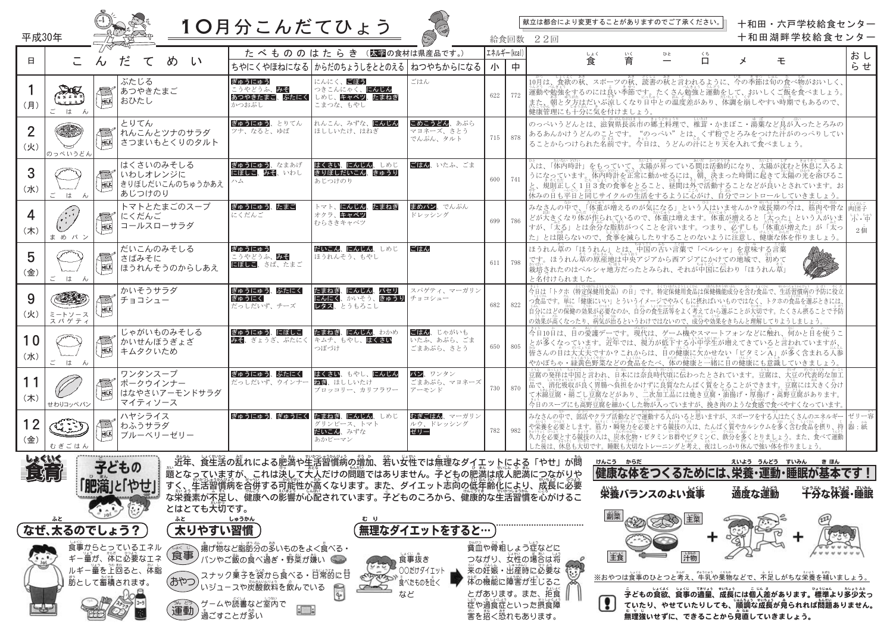| '್ನೆ |  |  |  | 10月分こんだてひょう |  |  |  |
|------|--|--|--|-------------|--|--|--|
|      |  |  |  |             |  |  |  |

│献立は都合により変更することがありますのでご了承ください。

## 十和田・六戸学校給食センター

| 平成30年                                                                                                                                                                                                                                                                                                                                                                                                                                                                                                                                                                                                                                                                                                                                                                                                                     |                                                                 |         |                                                                    |             | <u>IV/J/JU/UILLUI AV</u>           |                                                                            | المحمد المحمد المحمد المحمد المحمد المحمد المحمد المحمد المحمد المحمد المحمد المحمد المحمد المحمد ال<br>المحمد المحمد المحمد المحمد المحمد المحمد المحمد المحمد المحمد المحمد المحمد المحمد المحمد المحمد المحمد المحم |             | 給食回数    | 十和田湖畔学校給食センター<br>$22$ 回                                                                                                                                                                                                            |
|---------------------------------------------------------------------------------------------------------------------------------------------------------------------------------------------------------------------------------------------------------------------------------------------------------------------------------------------------------------------------------------------------------------------------------------------------------------------------------------------------------------------------------------------------------------------------------------------------------------------------------------------------------------------------------------------------------------------------------------------------------------------------------------------------------------------------|-----------------------------------------------------------------|---------|--------------------------------------------------------------------|-------------|------------------------------------|----------------------------------------------------------------------------|------------------------------------------------------------------------------------------------------------------------------------------------------------------------------------------------------------------------|-------------|---------|------------------------------------------------------------------------------------------------------------------------------------------------------------------------------------------------------------------------------------|
|                                                                                                                                                                                                                                                                                                                                                                                                                                                                                                                                                                                                                                                                                                                                                                                                                           |                                                                 |         |                                                                    |             |                                    | たべもののはたらき(太空の食材は県産品です。)                                                    |                                                                                                                                                                                                                        | エネルギー(kcal) |         | しょく<br><b>食</b><br>おし<br>いく<br>ひと<br>くち<br>育                                                                                                                                                                                       |
| 日                                                                                                                                                                                                                                                                                                                                                                                                                                                                                                                                                                                                                                                                                                                                                                                                                         |                                                                 |         | だ<br>て                                                             | め<br>$\cup$ |                                    | ちやにくやほねになる からだのちょうしをととのえる ねつやちからになる                                        |                                                                                                                                                                                                                        | $\sqrt{2}$  | 中       | 口<br>壬<br>らせ                                                                                                                                                                                                                       |
| (月)                                                                                                                                                                                                                                                                                                                                                                                                                                                                                                                                                                                                                                                                                                                                                                                                                       | はん                                                              | 53<br>哑 | ぶたじる<br>あつやきたまご<br>おひたし                                            |             | ぎゅうにゅう<br>こうやどうふ、みそ<br>かつおぶし       | にんにく、ごぼう<br>つきこんにゃく、にんじん<br>あつやきたまご、ぶたにくししめじ、キャベツ、たまねぎ<br>こまつな、もやし         | ごはん                                                                                                                                                                                                                    | 622         | 772     | 10月は、食欲の秋、スポーツの秋、読書の秋と言われるように、今の季節は荀の食べ物がおいしく、<br>運動や勉強をするのには良い季節です。たくさん勉強と運動をして、おいしくご飯を食べましょう。<br>また、朝と夕方はだいぶ涼しくなり日中との温度差があり、体調を崩しやすい時期でもあるので、<br>健康管理にも十分に気を付けましょう。                                                              |
| (火)                                                                                                                                                                                                                                                                                                                                                                                                                                                                                                                                                                                                                                                                                                                                                                                                                       | のっぺいうどん                                                         | 哑       | とりてん<br>₹■ れんこんとツナのサラダ<br> さつまいもとくりのタルト                            |             | ぎゅうにゅう、とりてん<br>ツナ、なると、ゆば           | れんこん、みずな、にんじん<br>ほししいたけ、はねぎ                                                | こめこうどん、あぶら<br>マヨネーズ、さとう<br>でんぷん、タルト                                                                                                                                                                                    |             | 715 878 | のっぺいうどんとは、滋賀県長浜市の郷土料理で、椎茸・かまぼこ・湯葉など具が入ったとろみの<br>あるあんかけうどんのことです。"のっぺい"とは、くず粉でとろみをつけた汁がのっぺりしてい<br>ることからつけられた名前です。今日は、うどんの汁にとり天を入れて食べましょう。                                                                                            |
| 3<br>(7K)                                                                                                                                                                                                                                                                                                                                                                                                                                                                                                                                                                                                                                                                                                                                                                                                                 | ご<br>は ん                                                        |         | はくさいのみそしる<br><i>尽く</i> いわしオレンジに<br>    きりぼしだいこんのちゅうかあえ<br>  あじつけのり |             | ぎゅうにゅう、なまあげ<br>にぼしこ、みそ、いわし<br>ハム   | はくさい、にんじん、しめじ<br>きりぼしだいこん、きゅうり<br>あじつけのり                                   | ごはん、いたふ、ごま                                                                                                                                                                                                             | 600         | 741     | 。<br>人は、「体内時計」を <u>もっていて、太陽が昇っている間は活動的になり、太陽が沈むと休</u> 息に入るよ<br>うになっています。体内時計を正常に動かせるには、朝、決まった時間に起きて太陽の光を浴びるこ<br>と、規則正しく1篇3後の養事をとること、昼間は外で活動することなどが良いとされています。お<br>休みの自も平日と同じサイクルの生活をするように心がけ、自分でコントロールしていきましょう。                     |
| (木)                                                                                                                                                                                                                                                                                                                                                                                                                                                                                                                                                                                                                                                                                                                                                                                                                       | $\begin{pmatrix} 1 & 1 \\ 1 & 1 \\ 1 & 1 \end{pmatrix}$<br>まめパン | 哑       | トマトとたまごのスープ<br>にくだんご<br>  コールスローサラダ                                |             | ぎゅうにゅう、たまご<br>にくだんご                | トマト、にんじん、たまねぎ<br>オクラ、キャベツ<br>むらさきキャベツ                                      | まめパン、でんぷん<br>ドレッシング                                                                                                                                                                                                    | 699         | 786     | みなさんの中で、「体重が増えるのが気になる」という人はいませんか?成長期の今は、筋肉や骨な あ国子<br>しょう ちゅう<br>- 小・中<br>どが天きくなり体が作られているので、体重は増えます。体重が増えると「太った」という人がいま<br>すが、「太る」とは余分な脂肪がつくことを言います。つまり、必ずしも「体重が増えた」が「太っ<br>$2$ 個<br>た」とは限らないので、食事を減らしたりすることのないように注意し、健康な体を作りましょう。  |
| 5<br>(金)                                                                                                                                                                                                                                                                                                                                                                                                                                                                                                                                                                                                                                                                                                                                                                                                                  | $\tilde{\phantom{a}}$<br>は                                      | 哑       | だいこんのみそしる<br>さばみそに<br>はうれんそうのからしあえ                                 |             | ぎゅうにゅう<br>こうやどうふ、みそ<br>にぼしこ、さば、たまご | だいこん、にんじん、しめじ<br>ほうれんそう、もやし                                                | ごはん                                                                                                                                                                                                                    | 611         | 798     | ほうれん章の「ほうれん」とは、中国の古い言葉で「ペルシャ」を意味する言葉<br>です。ほうれん革の原産地は中央アジアから西アジアにかけての地域で、初めて<br>栽培されたのはペルシャ地方だったとみられ、それが中国に伝わり「ほうれん草」<br>と名付けられました。                                                                                                |
| 9<br>(火)                                                                                                                                                                                                                                                                                                                                                                                                                                                                                                                                                                                                                                                                                                                                                                                                                  | ミートソース  <br>スパゲティ                                               | 四       | かいそうサラダ<br>「チョコシュー                                                 |             | ぎゅうにゅう、ぶたにく<br>ぎゅうにく<br>だっしだいず、チーズ | たまねぎ、にんじん、パセリ<br>にんにく、かいそう、きゅうり チョコシュー<br>レタス、とうもろこし                       | スパゲティ、マーガリン                                                                                                                                                                                                            | 682         | 822     | 今日は「トクホ(特定保健用食品)の自」です。特定保健用食品は保健機能成分を含む食品で、生活習慣病の予防に役立<br>つ食品です。単に「健康にいい」とういうイメージでやみくもに摂ればいいものではなく、トクホの食品を選ぶときには、<br>自分にはどの保健の効果が必要なのか、自分の食生活等をよく考えてから選ぶことが大切です。たくさん摂ることで予防<br>の効果が高くなったり、病気が沿るというわけではないので、成分や効果をきちんと理解してりようしましょう。 |
| 10 <sup>°</sup><br>(7K)                                                                                                                                                                                                                                                                                                                                                                                                                                                                                                                                                                                                                                                                                                                                                                                                   | ご<br>はん                                                         |         | じゃがいものみそしる<br>かいせんぼうぎょざ<br>キムタクいため                                 |             | ぎゅうにゅう、にぼしこ                        | たまねぎ、にんじん、わかめ<br>みそ、ぎょうざ、ぶたにく キムチ、もやし、はくさい<br>つぼづけ                         | ごはん、じゃがいも<br>│いたふ、あぶら、ごま<br>ごまあぶら、さとう                                                                                                                                                                                  | 650         | 805     | 今日10日は、目の愛護デーです。現代は、ゲーム機やスマートフォンなどに触れ、何かと目を使うこ<br>とが多くなっています。近年では、視力が低下する小平学生が増えてきていると言われていますが、<br>皆さんの自は大丈夫ですか?これからは、自の健康に欠かせない「ビタミンA」が多く含まれる人参<br>やかぼちゃ・緑黄色野菜などの食品をたべ、体の健康と一緒に自の健康にも意識していきましょう。                                  |
| 11<br>(木)                                                                                                                                                                                                                                                                                                                                                                                                                                                                                                                                                                                                                                                                                                                                                                                                                 | せわりコッペパン                                                        | 哑       | ワンタンスープ<br><sup>' </sup> ポークウインナー<br>はなやさいアーモンドサラダ<br>マイティソース      |             | ぎゅうにゅう、ぶたにく<br>だっしだいず、ウインナー        | はくさい、もやし、にんじん<br>ねぎ、ほししいたけ<br>ブロッコリー、カリフラワー                                | パン、ワンタン<br>ごまあぶら、マヨネーズ<br>アーモンド                                                                                                                                                                                        |             | 730 870 | 豆腐の発祥は中国と言われ、自苯には奈良時代頃に伝わったとされています。豆腐は、天豆の代表的な加工<br><b>品で、消化吸収が良く胃腸へ負担をかけずに良質なたんぱく質をとることができます。豆腐には天きく分け</b><br>て木綿豆腐・絹ごし豆腐などがあり、二次加工品には焼き豆腐・油揚げ・厚揚げ・高野豆腐があります。<br>今日のスープにも高野豆腐を細かくした物が入っていますが、挽き肉のような食感で食べやすくなっています。               |
| 12<br>(金)                                                                                                                                                                                                                                                                                                                                                                                                                                                                                                                                                                                                                                                                                                                                                                                                                 | むぎごはん                                                           |         | ハヤシライス<br>わふうサラダ<br>ブルーベリーゼリー                                      |             |                                    | ぎゅうにゅう、ぎゅうにく たまねぎ、にんじん、しめじ むぎごはん、マーガリン<br>グリンピース、トマト<br>だいこん、みずな<br>あかピーマン | ルウ、ドレッシング<br>ゼリー                                                                                                                                                                                                       | 782         | 982     | るなさんの中で、部活やクラブ活動などで運動する人がいると思いますが、スポーツをする人はたくさんのエネルギー┃ゼリー容┃<br>、私は、ある。<br>や栄養を必要とします。筋力・瞬発力を必要とする競技の人は、たんぱく質やカルシウムを多く含む食品を摂り、持 器:紙<br>「休息も大切です。睡眠も大切なトレーニングと考え、夜はしっかり休んで強い体を作りましょう                                                 |
| 以<br>食有<br><u>、近年、 食生活の乱れによる肥満や生活習慣病の増加、若い女性では無理なダイエットによる「やせ」が問</u><br>えいよう うんどう すいみん きほん<br>けんこう からだ<br>子どもの<br> 健康な体をつくるためには、栄養・運動・睡眠が基本です!<br><u> 題となっていますが、これは決して大人だけの問題ではありません。子どもの肥満は成人肥満につながりや</u><br>肥満」とやせ<br>すく、生活習慣病を合併する可能性が高くなります。また、ダイエット志向の低年齢化により、成長に必要<br>栄養バランスのよい食事<br>適度な運動<br>な栄養素が不足し、健康への影響が心配されています。子どものころから、健康的な生活習慣を心がけるこ<br>とはとても大切です。<br>諭<br>主菜<br>ふと<br>ふと<br>しゅうかん<br>むり<br>太りやすい習慣<br>なぜ、太るのでしょう?)<br>無理なダイエットをすると…<br>食事からとっているエネル<br>資血や骨粗しょう症などに<br>、揚げ物など脂肪分の多いものをよく食べる・<br>$\sqrt{4}<1$<br>洋物<br>食事<br>主食<br>ギー量が、体に必要なエネ<br>つながり、安性の場合は将<br> パンやご飯の食べ過ぎ・野菜が嫌い ◎◎<br>食事抜き<br>ルギー量を上回ると、体脂<br>。<br>来の妊娠・出産時に必要な<br>体の機能に障害が生じるこ<br>○○だけダイエット<br><sub>,</sub> スナック菓子を發から食べる・日常的に甘<br>, いジュースや炭酸飲料を飲んでいる<br>※おやつは食事のひとつと考え、"ギ乳や果物などで、不足しがちな栄養を補いましょう。<br>筋として蓄積されます。<br>あやつ<br>食べたものを吐く |                                                                 |         |                                                                    |             |                                    |                                                                            |                                                                                                                                                                                                                        |             |         |                                                                                                                                                                                                                                    |
|                                                                                                                                                                                                                                                                                                                                                                                                                                                                                                                                                                                                                                                                                                                                                                                                                           |                                                                 |         |                                                                    | 多。<br>運動    | グームや読書など室内で<br>$\Box$<br>過ごすことが多い  | $\mathbb{C}$                                                               | など                                                                                                                                                                                                                     |             |         | とがあります。また、指資<br>ネどもの食欲、食事の適量、成長には個人差があります。標準より多少大っ<br>症や過食症といった損食障<br>ていたり、やせていたりしても、順謫な成長が見られれば問題ありません。<br>嘗を摺く慾れもあります。<br>無理強いせずに、できることから見道していきましょう。                                                                             |